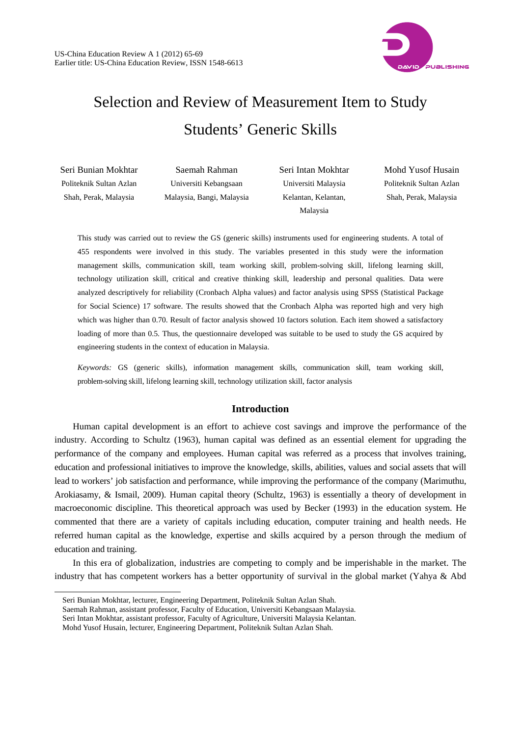

# Selection and Review of Measurement Item to Study Students' Generic Skills

| Seri Bunian Mokhtar     | Saemah Rahman             | Seri Intan Mokhtar  | Mohd Yusof Husain       |
|-------------------------|---------------------------|---------------------|-------------------------|
| Politeknik Sultan Azlan | Universiti Kebangsaan     | Universiti Malaysia | Politeknik Sultan Azlan |
| Shah, Perak, Malaysia   | Malaysia, Bangi, Malaysia | Kelantan, Kelantan, | Shah, Perak, Malaysia   |
|                         |                           | Malaysia            |                         |

This study was carried out to review the GS (generic skills) instruments used for engineering students. A total of 455 respondents were involved in this study. The variables presented in this study were the information management skills, communication skill, team working skill, problem-solving skill, lifelong learning skill, technology utilization skill, critical and creative thinking skill, leadership and personal qualities. Data were analyzed descriptively for reliability (Cronbach Alpha values) and factor analysis using SPSS (Statistical Package for Social Science) 17 software. The results showed that the Cronbach Alpha was reported high and very high which was higher than 0.70. Result of factor analysis showed 10 factors solution. Each item showed a satisfactory loading of more than 0.5. Thus, the questionnaire developed was suitable to be used to study the GS acquired by engineering students in the context of education in Malaysia.

*Keywords:* GS (generic skills), information management skills, communication skill, team working skill, problem-solving skill, lifelong learning skill, technology utilization skill, factor analysis

### **Introduction**

Human capital development is an effort to achieve cost savings and improve the performance of the industry. According to Schultz (1963), human capital was defined as an essential element for upgrading the performance of the company and employees. Human capital was referred as a process that involves training, education and professional initiatives to improve the knowledge, skills, abilities, values and social assets that will lead to workers' job satisfaction and performance, while improving the performance of the company (Marimuthu, Arokiasamy, & Ismail, 2009). Human capital theory (Schultz, 1963) is essentially a theory of development in macroeconomic discipline. This theoretical approach was used by Becker (1993) in the education system. He commented that there are a variety of capitals including education, computer training and health needs. He referred human capital as the knowledge, expertise and skills acquired by a person through the medium of education and training.

In this era of globalization, industries are competing to comply and be imperishable in the market. The industry that has competent workers has a better opportunity of survival in the global market (Yahya & Abd

l

Seri Bunian Mokhtar, lecturer, Engineering Department, Politeknik Sultan Azlan Shah.

Saemah Rahman, assistant professor, Faculty of Education, Universiti Kebangsaan Malaysia.

Seri Intan Mokhtar, assistant professor, Faculty of Agriculture, Universiti Malaysia Kelantan.

Mohd Yusof Husain, lecturer, Engineering Department, Politeknik Sultan Azlan Shah.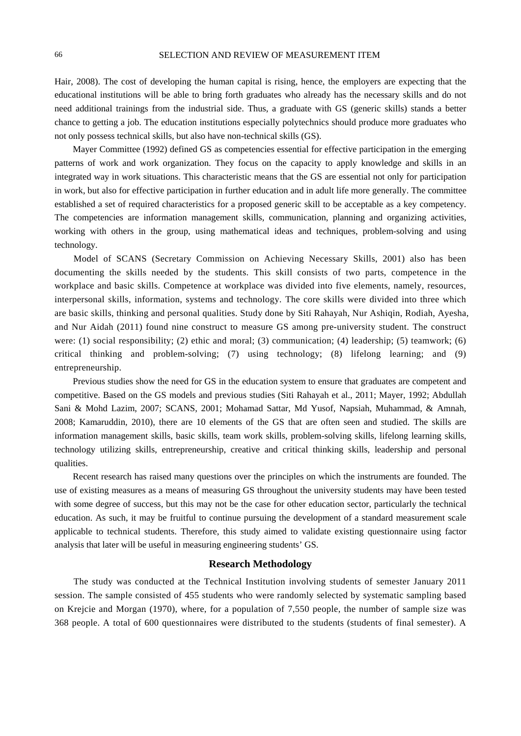Hair, 2008). The cost of developing the human capital is rising, hence, the employers are expecting that the educational institutions will be able to bring forth graduates who already has the necessary skills and do not need additional trainings from the industrial side. Thus, a graduate with GS (generic skills) stands a better chance to getting a job. The education institutions especially polytechnics should produce more graduates who not only possess technical skills, but also have non-technical skills (GS).

Mayer Committee (1992) defined GS as competencies essential for effective participation in the emerging patterns of work and work organization. They focus on the capacity to apply knowledge and skills in an integrated way in work situations. This characteristic means that the GS are essential not only for participation in work, but also for effective participation in further education and in adult life more generally. The committee established a set of required characteristics for a proposed generic skill to be acceptable as a key competency. The competencies are information management skills, communication, planning and organizing activities, working with others in the group, using mathematical ideas and techniques, problem-solving and using technology.

Model of SCANS (Secretary Commission on Achieving Necessary Skills, 2001) also has been documenting the skills needed by the students. This skill consists of two parts, competence in the workplace and basic skills. Competence at workplace was divided into five elements, namely, resources, interpersonal skills, information, systems and technology. The core skills were divided into three which are basic skills, thinking and personal qualities. Study done by Siti Rahayah, Nur Ashiqin, Rodiah, Ayesha, and Nur Aidah (2011) found nine construct to measure GS among pre-university student. The construct were: (1) social responsibility; (2) ethic and moral; (3) communication; (4) leadership; (5) teamwork; (6) critical thinking and problem-solving; (7) using technology; (8) lifelong learning; and (9) entrepreneurship.

Previous studies show the need for GS in the education system to ensure that graduates are competent and competitive. Based on the GS models and previous studies (Siti Rahayah et al., 2011; Mayer, 1992; Abdullah Sani & Mohd Lazim, 2007; SCANS, 2001; Mohamad Sattar, Md Yusof, Napsiah, Muhammad, & Amnah, 2008; Kamaruddin, 2010), there are 10 elements of the GS that are often seen and studied. The skills are information management skills, basic skills, team work skills, problem-solving skills, lifelong learning skills, technology utilizing skills, entrepreneurship, creative and critical thinking skills, leadership and personal qualities.

Recent research has raised many questions over the principles on which the instruments are founded. The use of existing measures as a means of measuring GS throughout the university students may have been tested with some degree of success, but this may not be the case for other education sector, particularly the technical education. As such, it may be fruitful to continue pursuing the development of a standard measurement scale applicable to technical students. Therefore, this study aimed to validate existing questionnaire using factor analysis that later will be useful in measuring engineering students' GS.

#### **Research Methodology**

The study was conducted at the Technical Institution involving students of semester January 2011 session. The sample consisted of 455 students who were randomly selected by systematic sampling based on Krejcie and Morgan (1970), where, for a population of 7,550 people, the number of sample size was 368 people. A total of 600 questionnaires were distributed to the students (students of final semester). A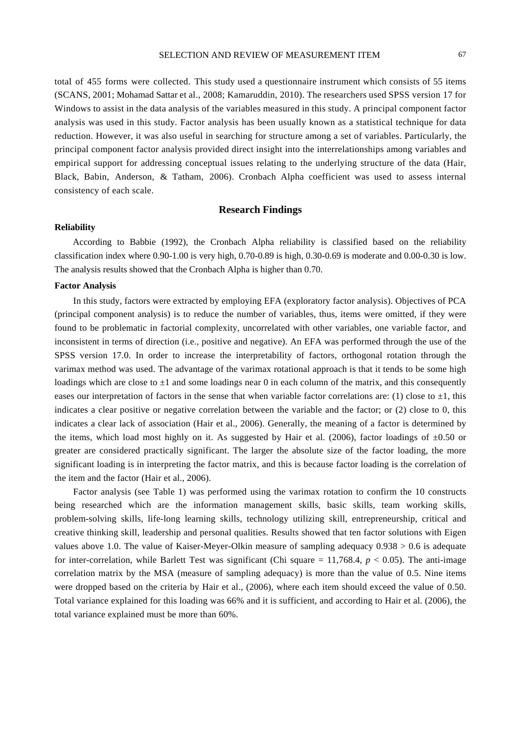total of 455 forms were collected. This study used a questionnaire instrument which consists of 55 items (SCANS, 2001; Mohamad Sattar et al., 2008; Kamaruddin, 2010). The researchers used SPSS version 17 for Windows to assist in the data analysis of the variables measured in this study. A principal component factor analysis was used in this study. Factor analysis has been usually known as a statistical technique for data reduction. However, it was also useful in searching for structure among a set of variables. Particularly, the principal component factor analysis provided direct insight into the interrelationships among variables and empirical support for addressing conceptual issues relating to the underlying structure of the data (Hair, Black, Babin, Anderson, & Tatham, 2006). Cronbach Alpha coefficient was used to assess internal consistency of each scale.

## **Research Findings**

#### **Reliability**

According to Babbie (1992), the Cronbach Alpha reliability is classified based on the reliability classification index where 0.90-1.00 is very high, 0.70-0.89 is high, 0.30-0.69 is moderate and 0.00-0.30 is low. The analysis results showed that the Cronbach Alpha is higher than 0.70.

#### **Factor Analysis**

In this study, factors were extracted by employing EFA (exploratory factor analysis). Objectives of PCA (principal component analysis) is to reduce the number of variables, thus, items were omitted, if they were found to be problematic in factorial complexity, uncorrelated with other variables, one variable factor, and inconsistent in terms of direction (i.e., positive and negative). An EFA was performed through the use of the SPSS version 17.0. In order to increase the interpretability of factors, orthogonal rotation through the varimax method was used. The advantage of the varimax rotational approach is that it tends to be some high loadings which are close to  $\pm 1$  and some loadings near 0 in each column of the matrix, and this consequently eases our interpretation of factors in the sense that when variable factor correlations are: (1) close to  $\pm 1$ , this indicates a clear positive or negative correlation between the variable and the factor; or (2) close to 0, this indicates a clear lack of association (Hair et al., 2006). Generally, the meaning of a factor is determined by the items, which load most highly on it. As suggested by Hair et al. (2006), factor loadings of  $\pm 0.50$  or greater are considered practically significant. The larger the absolute size of the factor loading, the more significant loading is in interpreting the factor matrix, and this is because factor loading is the correlation of the item and the factor (Hair et al., 2006).

Factor analysis (see Table 1) was performed using the varimax rotation to confirm the 10 constructs being researched which are the information management skills, basic skills, team working skills, problem-solving skills, life-long learning skills, technology utilizing skill, entrepreneurship, critical and creative thinking skill, leadership and personal qualities. Results showed that ten factor solutions with Eigen values above 1.0. The value of Kaiser-Meyer-Olkin measure of sampling adequacy 0.938 > 0.6 is adequate for inter-correlation, while Barlett Test was significant (Chi square  $= 11,768.4$ ,  $p < 0.05$ ). The anti-image correlation matrix by the MSA (measure of sampling adequacy) is more than the value of 0.5. Nine items were dropped based on the criteria by Hair et al., (2006), where each item should exceed the value of 0.50. Total variance explained for this loading was 66% and it is sufficient, and according to Hair et al. (2006), the total variance explained must be more than 60%.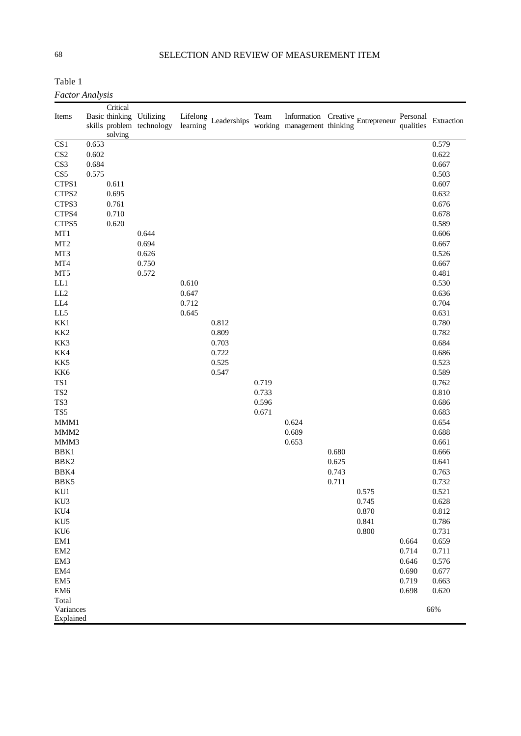# 68 SELECTION AND REVIEW OF MEASUREMENT ITEM

Table 1

*Factor Analysis* 

|                                    |       | Critical |                                                       |          |                      |       |                             |       |                                   |                       |                |
|------------------------------------|-------|----------|-------------------------------------------------------|----------|----------------------|-------|-----------------------------|-------|-----------------------------------|-----------------------|----------------|
| Items                              |       |          | Basic thinking Utilizing<br>skills problem technology | learning | Lifelong Leaderships | Team  | working management thinking |       | Information Creative Entrepreneur | Personal<br>qualities | Extraction     |
|                                    |       | solving  |                                                       |          |                      |       |                             |       |                                   |                       |                |
| CS <sub>1</sub>                    | 0.653 |          |                                                       |          |                      |       |                             |       |                                   |                       | 0.579          |
| CS <sub>2</sub>                    | 0.602 |          |                                                       |          |                      |       |                             |       |                                   |                       | 0.622          |
| CS3                                | 0.684 |          |                                                       |          |                      |       |                             |       |                                   |                       | 0.667          |
| CS5                                | 0.575 |          |                                                       |          |                      |       |                             |       |                                   |                       | 0.503          |
| CTPS1                              |       | 0.611    |                                                       |          |                      |       |                             |       |                                   |                       | 0.607          |
| CTPS2                              |       | 0.695    |                                                       |          |                      |       |                             |       |                                   |                       | 0.632          |
| CTPS3                              |       | 0.761    |                                                       |          |                      |       |                             |       |                                   |                       | 0.676          |
| CTPS4                              |       | 0.710    |                                                       |          |                      |       |                             |       |                                   |                       | 0.678          |
| CTPS5                              |       | 0.620    |                                                       |          |                      |       |                             |       |                                   |                       | 0.589          |
| MT1                                |       |          | 0.644                                                 |          |                      |       |                             |       |                                   |                       | 0.606          |
| MT <sub>2</sub>                    |       |          | 0.694                                                 |          |                      |       |                             |       |                                   |                       | 0.667          |
| MT3                                |       |          | 0.626                                                 |          |                      |       |                             |       |                                   |                       | 0.526          |
| MT4                                |       |          | 0.750                                                 |          |                      |       |                             |       |                                   |                       | 0.667          |
| MT5                                |       |          | 0.572                                                 |          |                      |       |                             |       |                                   |                       | 0.481          |
| LL1                                |       |          |                                                       | 0.610    |                      |       |                             |       |                                   |                       | 0.530          |
| LL <sub>2</sub>                    |       |          |                                                       | 0.647    |                      |       |                             |       |                                   |                       | 0.636          |
| LL4                                |       |          |                                                       | 0.712    |                      |       |                             |       |                                   |                       | 0.704          |
| LL5                                |       |          |                                                       | 0.645    |                      |       |                             |       |                                   |                       | 0.631          |
| KK1                                |       |          |                                                       |          | 0.812                |       |                             |       |                                   |                       | 0.780          |
| KK <sub>2</sub>                    |       |          |                                                       |          | 0.809                |       |                             |       |                                   |                       | 0.782          |
| KK3                                |       |          |                                                       |          | 0.703                |       |                             |       |                                   |                       | 0.684          |
| KK4                                |       |          |                                                       |          | 0.722                |       |                             |       |                                   |                       | 0.686          |
| KK5                                |       |          |                                                       |          | 0.525                |       |                             |       |                                   |                       | 0.523          |
| KK6                                |       |          |                                                       |          | 0.547                |       |                             |       |                                   |                       | 0.589          |
| TS1                                |       |          |                                                       |          |                      | 0.719 |                             |       |                                   |                       | 0.762          |
| TS <sub>2</sub>                    |       |          |                                                       |          |                      | 0.733 |                             |       |                                   |                       | 0.810          |
| TS3                                |       |          |                                                       |          |                      | 0.596 |                             |       |                                   |                       | 0.686          |
| TS5                                |       |          |                                                       |          |                      | 0.671 |                             |       |                                   |                       | 0.683          |
| MMM1                               |       |          |                                                       |          |                      |       | 0.624                       |       |                                   |                       | 0.654          |
| MMM <sub>2</sub>                   |       |          |                                                       |          |                      |       | 0.689                       |       |                                   |                       | 0.688          |
| MMM3                               |       |          |                                                       |          |                      |       | 0.653                       |       |                                   |                       | 0.661          |
| BBK1                               |       |          |                                                       |          |                      |       |                             | 0.680 |                                   |                       | 0.666          |
| BBK <sub>2</sub>                   |       |          |                                                       |          |                      |       |                             | 0.625 |                                   |                       | 0.641          |
| BBK4                               |       |          |                                                       |          |                      |       |                             | 0.743 |                                   |                       | 0.763          |
| BBK5                               |       |          |                                                       |          |                      |       |                             | 0.711 |                                   |                       | 0.732          |
| KU1                                |       |          |                                                       |          |                      |       |                             |       | 0.575                             |                       | 0.521          |
| KU3                                |       |          |                                                       |          |                      |       |                             |       | 0.745                             |                       | 0.628          |
| KU4                                |       |          |                                                       |          |                      |       |                             |       | 0.870                             |                       | 0.812          |
| KU5                                |       |          |                                                       |          |                      |       |                             |       | 0.841                             |                       | 0.786          |
| KU <sub>6</sub>                    |       |          |                                                       |          |                      |       |                             |       | 0.800                             |                       | 0.731          |
| EM1                                |       |          |                                                       |          |                      |       |                             |       |                                   | 0.664                 | 0.659          |
| EM <sub>2</sub>                    |       |          |                                                       |          |                      |       |                             |       |                                   | 0.714                 | 0.711          |
| EM3                                |       |          |                                                       |          |                      |       |                             |       |                                   | 0.646                 | 0.576          |
| EM4                                |       |          |                                                       |          |                      |       |                             |       |                                   | 0.690<br>0.719        | 0.677          |
| EM <sub>5</sub><br>EM <sub>6</sub> |       |          |                                                       |          |                      |       |                             |       |                                   | 0.698                 | 0.663<br>0.620 |
| Total                              |       |          |                                                       |          |                      |       |                             |       |                                   |                       |                |
| Variances                          |       |          |                                                       |          |                      |       |                             |       |                                   |                       | 66%            |
| Explained                          |       |          |                                                       |          |                      |       |                             |       |                                   |                       |                |